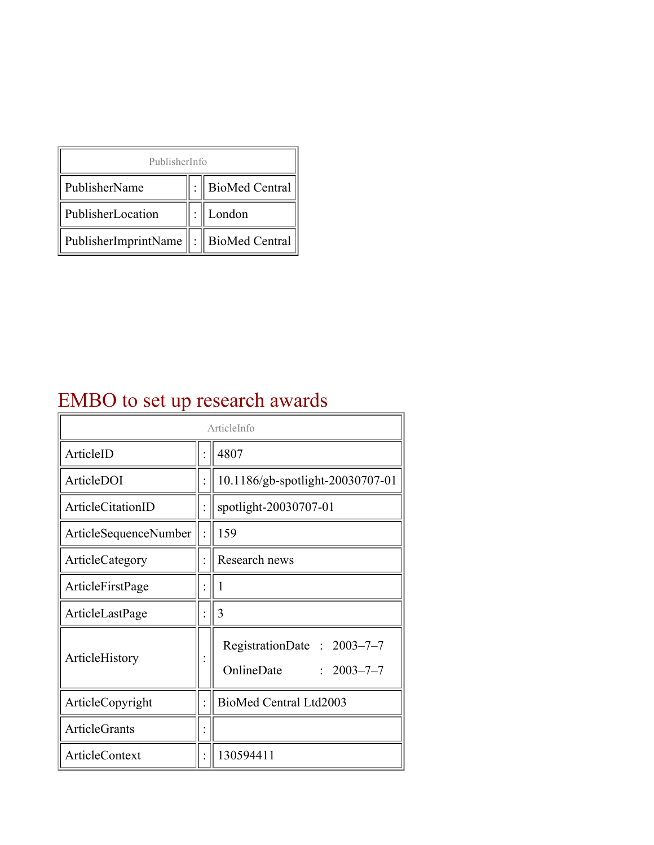| PublisherInfo                                   |  |                    |  |  |
|-------------------------------------------------|--|--------------------|--|--|
| PublisherName                                   |  | :   BioMed Central |  |  |
| PublisherLocation                               |  | London             |  |  |
| PublisherImprintName $\ \cdot\ $ BioMed Central |  |                    |  |  |

## EMBO to set up research awards

| ArticleInfo            |  |                                                              |  |
|------------------------|--|--------------------------------------------------------------|--|
| ArticleID              |  | 4807                                                         |  |
| ArticleDOI             |  | 10.1186/gb-spotlight-20030707-01                             |  |
| ArticleCitationID      |  | spotlight-20030707-01                                        |  |
| ArticleSequenceNumber  |  | 159                                                          |  |
| <b>ArticleCategory</b> |  | Research news                                                |  |
| ArticleFirstPage       |  | I                                                            |  |
| ArticleLastPage        |  | 3                                                            |  |
| ArticleHistory         |  | RegistrationDate: 2003-7-7<br>OnlineDate<br>$: 2003 - 7 - 7$ |  |
| ArticleCopyright       |  | BioMed Central Ltd2003                                       |  |
| ArticleGrants          |  |                                                              |  |
| ArticleContext         |  | 130594411                                                    |  |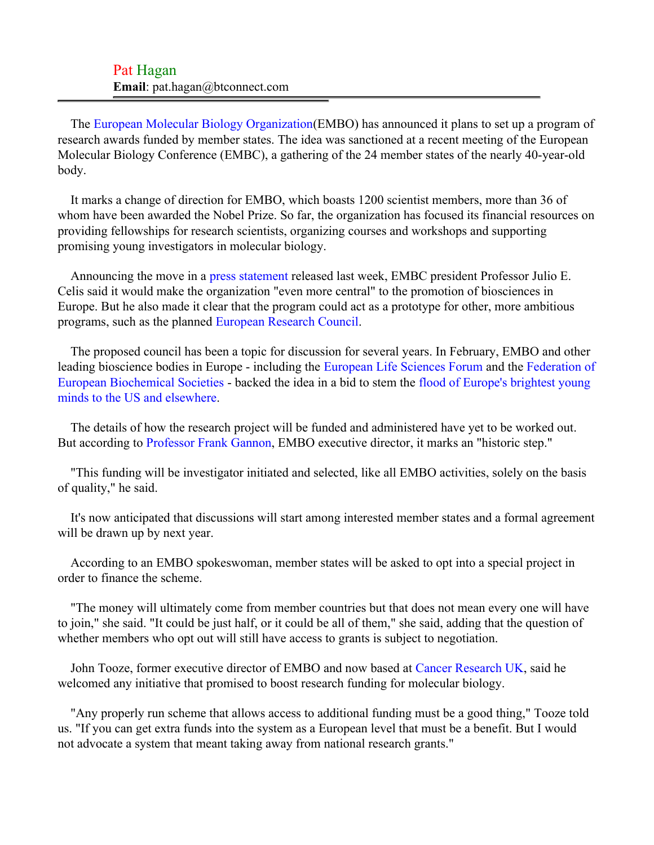| Pat Hagan                              |  |
|----------------------------------------|--|
| <b>Email</b> : pat.hagan@btconnect.com |  |

The [European Molecular Biology Organization](#page-2-0)(EMBO) has announced it plans to set up a program of research awards funded by member states. The idea was sanctioned at a recent meeting of the European Molecular Biology Conference (EMBC), a gathering of the 24 member states of the nearly 40-year-old body.

It marks a change of direction for EMBO, which boasts 1200 scientist members, more than 36 of whom have been awarded the Nobel Prize. So far, the organization has focused its financial resources on providing fellowships for research scientists, organizing courses and workshops and supporting promising young investigators in molecular biology.

Announcing the move in a [press statement](#page-2-1) released last week, EMBC president Professor Julio E. Celis said it would make the organization "even more central" to the promotion of biosciences in Europe. But he also made it clear that the program could act as a prototype for other, more ambitious programs, such as the planned [European Research Council.](#page-2-2)

The proposed council has been a topic for discussion for several years. In February, EMBO and other leading bioscience bodies in Europe - including the [European Life Sciences Forum](#page-2-3) and the [Federation of](#page-2-4) [European Biochemical Societies](#page-2-4) - backed the idea in a bid to stem the [flood of Europe's brightest young](#page-2-5) [minds to the US and elsewhere.](#page-2-5)

The details of how the research project will be funded and administered have yet to be worked out. But according to [Professor Frank Gannon](#page-2-6), EMBO executive director, it marks an "historic step."

"This funding will be investigator initiated and selected, like all EMBO activities, solely on the basis of quality," he said.

It's now anticipated that discussions will start among interested member states and a formal agreement will be drawn up by next year.

According to an EMBO spokeswoman, member states will be asked to opt into a special project in order to finance the scheme.

"The money will ultimately come from member countries but that does not mean every one will have to join," she said. "It could be just half, or it could be all of them," she said, adding that the question of whether members who opt out will still have access to grants is subject to negotiation.

John Tooze, former executive director of EMBO and now based at [Cancer Research UK,](#page-2-7) said he welcomed any initiative that promised to boost research funding for molecular biology.

"Any properly run scheme that allows access to additional funding must be a good thing," Tooze told us. "If you can get extra funds into the system as a European level that must be a benefit. But I would not advocate a system that meant taking away from national research grants."